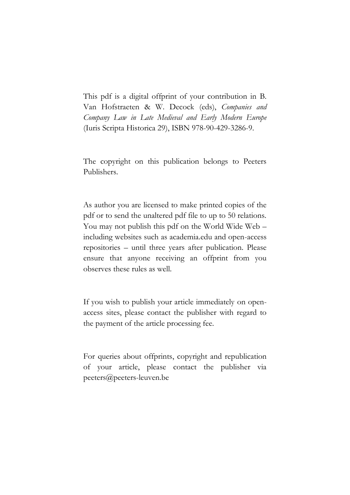This pdf is a digital offprint of your contribution in B. Van Hofstraeten & W. Decock (eds), *Companies and Company Law in Late Medieval and Early Modern Europe* (Iuris Scripta Historica 29), ISBN 978-90-429-3286-9.

The copyright on this publication belongs to Peeters Publishers.

As author you are licensed to make printed copies of the pdf or to send the unaltered pdf file to up to 50 relations. You may not publish this pdf on the World Wide Web – including websites such as academia.edu and open-access repositories – until three years after publication. Please ensure that anyone receiving an offprint from you observes these rules as well.

If you wish to publish your article immediately on openaccess sites, please contact the publisher with regard to the payment of the article processing fee.

For queries about offprints, copyright and republication of your article, please contact the publisher via peeters@peeters-leuven.be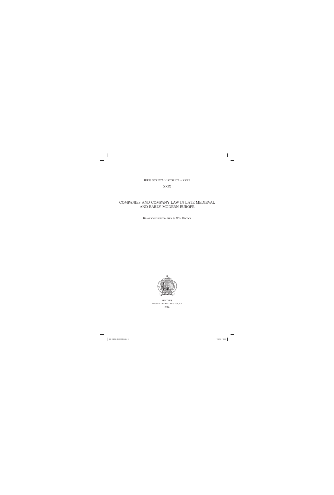### IURIS SCRIPTA HISTORICA – KVAB

### XXIX

# COMPANIES AND COMPANY LAW IN LATE MEDIEVAL AND EARLY MODERN EUROPE

BRAM VAN HOFSTRAETEN & WIM DECOCK



PEETERS LEUVEN – PARIS – BRISTOL, CT 2016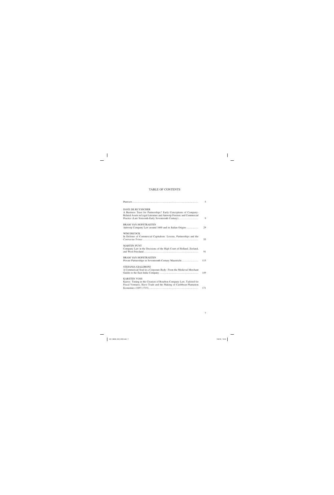## TABLE OF CONTENTS

|                                                                                                                                                                                                                               | 5   |
|-------------------------------------------------------------------------------------------------------------------------------------------------------------------------------------------------------------------------------|-----|
| <b>DAVE DE RUYSSCHER</b><br>A Business Trust for Partnerships? Early Conceptions of Company-<br>Related Assets in Legal Literature and Antwerp Forensic and Commercial<br>Practice (Late Sixteenth-Early Seventeenth Century) | 9   |
| <b>BRAM VAN HOFSTRAETEN</b><br>Antwerp Company Law around 1600 and its Italian Origins                                                                                                                                        | 29  |
| WIM DECOCK<br>In Defense of Commercial Capitalism: Lessius, Partnerships and the                                                                                                                                              | 55  |
| <b>MARTIJN PUNT</b><br>Company Law in the Decisions of the High Court of Holland, Zeeland,                                                                                                                                    | 91  |
| <b>BRAM VAN HOFSTRAETEN</b><br>Private Partnerships in Seventeenth-Century Maastricht                                                                                                                                         | 115 |
| STEFANIA GIALDRONI<br>A Commercial Soul in a Corporate Body: From the Medieval Merchant                                                                                                                                       | 149 |
| <b>KARSTEN VOSS</b><br>Kairos: Timing in the Creation of Bourbon Company Law, Tailored for<br>Fiscal Ventures, Slave Trade and the Making of Caribbean Plantation                                                             | 171 |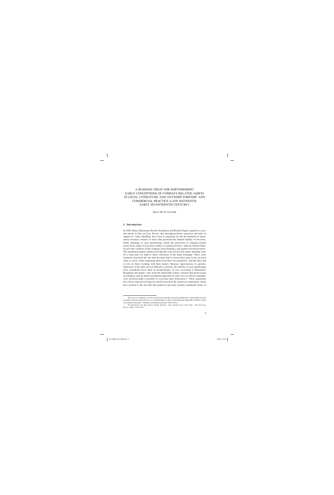# A BUSINESS TRUST FOR PARTNERSHIPS? EARLY CONCEPTIONS OF COMPANY-RELATED ASSETS IN LEGAL LITERATURE AND ANTWERP FORENSIC AND COMMERCIAL PRACTICE (LATE SIXTEENTH-EARLY SEVENTEENTH CENTURY)<sup>1</sup>

Dave DE RUYSSCHER

#### **1. Introduction**

In 2006, Henry Hansmann, Reinier Kraakman and Richard Squire argued in a seminal article in *Harvard Law Review* that throughout history practices and rules in support of 'entity shielding' have been as important for the development of autonomous business ventures as those that promoted the limited liability of investors. Entity shielding, or asset partitioning, entails the protection of company-related assets from claims of personal creditors of partners/owners, whereas limited liability prevents creditors of the company from bringing a suit against investors/owners. The mentioned authors underscored that the costs involved in entity shielding were for a long time too high to allow efficiency of the legal technique. These costs foremost concerned the fact that investors had to loosen their grip on the invested sums or assets, when separating them from their own properties, and that they had to rely on those working with their money. Because opportunistic or egotistic behaviour of the latter proved difficult to remedy, the benefits of asset partitioning were considered lower than its disadvantages. It was, according to Hansmann, Kraakman and Squire, only from the nineteenth century onwards that professional accountancy and an improved judicial approach in court cases in which companies were involved made it possible to overcome these deficiencies.<sup>2</sup> These arguments have been criticized as being too much focused on the American corporation. Some have pointed to the fact that late-medieval and early modern continental forms of

<sup>1</sup> This text is a summary of first results from ongoing research regarding the relationship between academic doctrine and local law, as to partnerships, in the seventeenth and eighteenth centuries (Fund of Scientific Research – Flanders, postdoctoral project 2010–2013).

<sup>2</sup> H. HANSMANN, R. KRAAKMAN and R. SQUIRE, "Law and the rise of the firm", *Harvard Law Review* 2006, 1333-1403.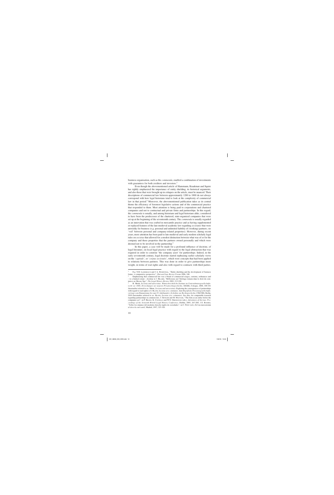business organisation, such as the *commenda*, enabled a combination of investments with guarantees for both creditors and investors.<sup>3</sup>

Even though the abovementioned article of Hansmann, Kraakman and Squire has rightly emphasized the importance of entity shielding, its historical arguments, and also those that were brought up in critiques on the article, must be nuanced. Their descriptions of commercial law between approximately 1200 to 1800 do not always correspond with how legal historians tend to look at the complexity of commercial law in that period.<sup>4</sup> Moreover, the abovementioned publication takes as its central theme the efficiency of foremost legislative actions and of the commercial practice that responded to them. Most attention is being paid to corporations and chartered companies and not to contractual and private firms and partnerships. In this regard, the *commenda* is usually, and among historians and legal historians alike, considered to have been the predecessor of the chartered, state-organized companies that were set up at the beginning of the seventeenth century. The *commenda* is usually regarded as an innovation that was crafted in mercantile practice and as having supplemented or replaced features of the late-medieval academic law regarding *societates* that were unwieldy for business (e.g. personal and unlimited liability of (working) partners; no 'veil' between personal and company-related properties). However, during recent years, more attention has been paid to late-medieval and early modern scholarly legal rules on *societas* that allowed for a modest distinction between what was of or for the company and those properties that the partners owned personally and which were deemed not to be involved in the partnership.<sup>5</sup>

In this paper, a case will be made for a profound influence of doctrine, of legal literature, on local legal practice with regard to the legal abstraction that was required in order to construe 'the company asset' for partnerships. Indeed, in the early seventeenth century, legal doctrine started rephrasing earlier scholarly views on the '*capitale*', or '*corpus societatis*', which were concepts that had been applied to relations between partners. This was done in order to give partnerships more weight, in terms of real rights and also with regard to contracts with third parties.

<sup>3</sup> E.g. N.R. LAMOREAUX and J.-L. ROSENTHAL, "Entity shielding and the development of business forms: a comparative perspective", *Harvard Law Review Forum* 2006, 240.

<sup>4</sup> Emphasizing that commercial law was a blend of commercial usages, customs, ordinances and – to a limited extent – doctrine is J. HILAIRE, "Réflexions sur l'héritage romain dans le droit du commerce au Moyen Âge", *The Legal History Review* 2002, 213-228.

<sup>5</sup> R. MEHR, *Societas und universitas: Römischrechteliche Institute im Unternehmensgesellschaftsrecht vor 1800*, (*Forschungen zur neueren Privatrechtsgeschichte*, XXXII), Cologne, 2008, 100-101 (hereinafter referred to as: MEHR, *Societas und universitas*). Exploring the consequences of partnerships with regard to real rights is S. BLATH, *Societas sive communio. Zum Begriff des Personengesellschaftsvertrags vom Humanismus bis zum 19. Jahrhundert*, (*Schriften zur Rechtsgeschichte*, CXLVIII), Berlin, 2010 (hereinafter referred to as: BLATH, *Societas sive communio*). See also, for comparable research regarding partnerships in common law, J. GETZLER and M. MACNAIR, "The firm as an entity before the companies act", in P. BRAND, K. COSTELLO and W.N. OSBOROUGH (eds.), *Adventures of the Law. Proceedings of the Sixteenth British Legal History Conference*, Dublin, 2005, 267-288; J.S. ROGERS, "Sobre los orígines del moderno derecho inglés de sociedades", in C. PETIT (ed.), *Del* ius mercatorum *al derecho mercantil*, Madrid, 1997, 325-326.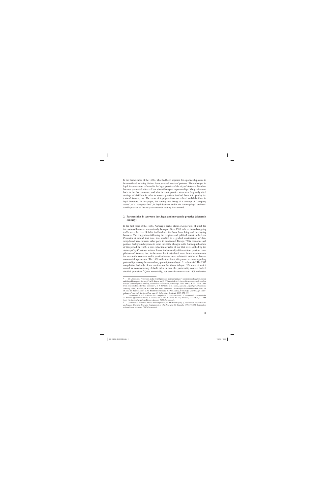In the first decades of the 1600s, what had been acquired for a partnership came to be considered as being distinct from personal assets of partners. These changes in legal literature were reflected in the legal practice of the city of Antwerp. Its urban law was permeated with civil law also with respect to partnerships. Many rules went back to the *ius commune*, and also in court practice advocates frequently cited writings of civil law in order to answer questions that had been left open by the texts of Antwerp law. The views of legal practitioners evolved, as did the ideas in legal literature. In this paper, the coming into being of a concept of 'company assets', of a 'company fund', in legal doctrine, and in the Antwerp legal and mercantile practice of the early seventeenth century is examined.

#### **2. Partnerships in Antwerp law, legal and mercantile practice (sixteenth century)**

In the first years of the 1600s, Antwerp's earlier status of *emporium*, of a hub for international business, was seriously damaged. Since 1585, tolls on in- and outgoing traffic over the river Scheldt had hindered its firms from doing and developing business. The emigrations following the religious and political unrest in the Low Countries at around that time, too, resulted in a gradual reorientation of Antwerp-based trade towards other ports in continental Europe.6 This economic and political background explains to some extent the changes in the Antwerp urban law of this period. In 1608, a new collection of rules of law that were applied by the Antwerp City Court was written. It was fundamentally different from previous compilations of Antwerp law, in the sense that it stipulated more formal requirements for mercantile contracts and it provided many more substantial articles of law on commercial agreements. The 1608 collection listed thirty-nine sections regarding partnerships, among them mandatory prescriptions (chapter 9, volume 4).<sup>7</sup> The 1582 compilation had only eleven sections on this theme (chapter 52), most of which served as non-mandatory default rules in case the partnership contract lacked detailed provisions.<sup>8</sup> Quite remarkably, not even the more extant 1608 collection

<sup>6</sup> M. LIMBERGER, "'No town in the world provides more advantages': economies of agglomeration and the golden age of Antwerp", in D. KEENE and P. O'BRIEN (eds.), *Urban achievement in early modern Europe. Golden ages in Antwerp, Amsterdam and London*, Cambridge, 2001, 39-62; A.K.L. THIJS, "The river Scheldt closed for two centuries", in F. SUYKENS et.al. (eds.), *Antwerp. A port for all seasons*, Antwerp, 1986, 165-273; H. VAN DER WEE and J. MATERNÉ, "Antwerpen als internationaler Markt im 16. und 17. Jahrhundert", in W. FELDENKIRCHEN and H. POHL (eds.), *Wirtschaft, Gesellschaft, Unternehmen. Festschrift für Hans Pohl zum 60. Geburtstag*, Stuttgart, 1995, 470-499.

<sup>7</sup> *Coutumes de la ville d'Anvers dites compilatae*, G. DE LONGÉ (ed.), (*Coutumes du pays et duché de Brabant. Quartier d'Anvers. Coutumes de la ville d'Anvers*, III-IV), Brussels, 1872-1874, 172-188 (vol. 4 is hereinafter referred to as: *Antwerp 1608 Costuymen*).

<sup>8</sup> *Coutumes de la ville d'Anvers dites impressae*, G. DE LONGÉ (ed.), (*Coutumes du pays et duché de Brabant. Quartier d'Anvers. Coutumes de la ville d'Anvers*, II), Brussels, 1870, 392-396 (hereinafter referred to as: *Antwerp 1582 Costuymen*).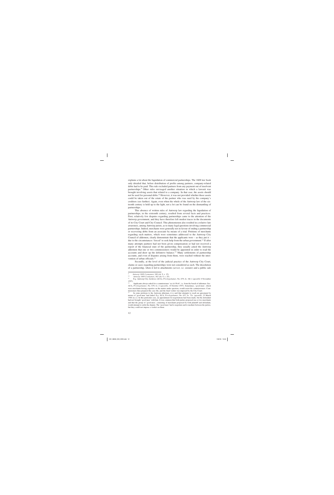explains a lot about the liquidation of commercial partnerships. The 1608 law book only detailed that, before distribution of profits among partners, company-related debts had to be paid. This rule excluded partners from any payment out of insolvent partnerships.9 Other rules envisaged another situation in which a lawsuit was brought involving assets that related to a company. In that case, the assets should not be used for personal debts.10 However, it was not provided whether those assets could be taken out of the estate of the partner who was sued by the company's creditors (see further). Again, even when the whole of the Antwerp law of the sixteenth century is held up to the light, not a lot can be found on the dismantling of partnerships.

This absence of written rules of Antwerp law regarding the liquidation of partnerships, in the sixteenth century, resulted from several facts and practices. First, relatively few disputes regarding partnerships came to the attention of the Antwerp government, and they have therefore left modest traces in the documents of its City Court and City Council. This phenomenon also resulted in a relative late awareness, among Antwerp jurists, as to many legal questions involving commercial partnerships. Indeed, merchants were generally not in favour of ending a partnership or recovering debts from an associate by means of a trial. Petitions of merchants regarding such matters, which were sometimes addressed to the Antwerp City Council of aldermen, clearly demonstrate that the applicants were  $-$  as they put it  $$ due to the circumstances 'forced' to seek help from the urban government.<sup>11</sup> If after many attempts partners had not been given compensation or had not received a report of the financial state of the partnership, they usually asked the Antwerp aldermen that one or two commissioners would be appointed in order to read the accounts and draw up the definitive balance.<sup>12</sup> Many settlements of partnership accounts, and even of disputes arising from them, were reached without the intervention of urban officials.<sup>13</sup>

Secondly, at the level of the judicial practice of the Antwerp City Court, claims or cases regarding partnerships were not considered as such. The dissolution of a partnership, when it led to attachments (*arrest*, i.e. seizure) and a public sale

<sup>9</sup> *Antwerp 1608 Costuymen*, 180 (ch. 9, s. 15).

<sup>10</sup> *Antwerp 1608 Costuymen*, 182 (ch. 9, s. 25).

<sup>11</sup> E.g. Antwerp City Archives (ACA), *Privilegiekamer*, No. 679, fo. 18r-v (*apostille* 4 November 1597).

<sup>12</sup> Applicants always asked for a commissioner '*uyt de Weth*', i.e. from the bench of aldermen. See: ACA, *Privilegiekamer*, No. 679, fo. 2 (*apostille*, 14 October 1597). Sometimes, 'good men', which were merchants having expertise on the matter under question, would assist the commissioners. Commissioners then prepared the case file, and the final verdict was imposed by the City Court.<br><sup>13</sup> In some petitions to the Antwern aldermen, it is said that attempts to reach an agree

In some petitions to the Antwerp aldermen, it is said that attempts to reach an agreement by means of 'good men' had failed. E.g. ACA, *Privilegiekamer*, No. 637, fo. 72v. (*apostille*, 23 March 1566 (n.s.)). In this particular case, an appointment for negotiations had been made, but the defendant had not brought 'good men' with him. It was common that both parties proposed one or two merchants and that the group of 'good men', consisting of merchants proposed by both plaintiff and defendant, would attempt to settle the dispute. The 'good men' had to negotiate and to mediate between the parties, but they could not impose a verdict on them.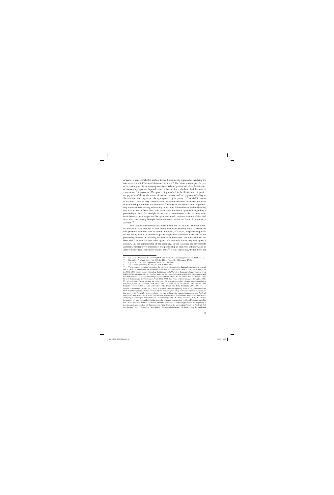of assets, was never labelled in those terms. It was merely regarded as involving the concurrence and fulfilment of claims of creditors.14 Also, there was no specific type of proceeding for disputes among associates. When a partner had taken the initiative of dismantling a partnership and started a lawsuit for it, the latter had the form of a settlement 'of accounts'. This proceeding resulted in the distribution of profits, the payment of debts, the return of invested assets, and the payment of salary to 'factors' (i.e. working partners being employed by the partners).15 A trial 'in matter of accounts' was also very common when the administration of an inheritance estate or guardianship for minors was concerned.16 Of course, this identification of partnership issues with the reading and settling of accounts followed from the bookkeeping that was in use in firms. But, also, even when no formal agreement regarding a partnership existed, for example in the case of commission trade, accounts were made between the principal and his agent. As a result, business ventures of that kind were also occasionally brought before the courts under the form of 'a matter of account'.17

This second phenomenon also ensued from the fact that, in the urban forensic practice of Antwerp and as well among merchants residing there, a partnership was generally identified with its administrator and, as a result, the partnership itself did not really matter. Commercial partnerships were dissolved at the end of the partnership contract or following insolvency. In both cases, creditors who had not been paid filed suit for their debts against the one with whom they had signed a contract, i.e. the administrator of the company. In the sixteenth and seventeenth centuries, bankruptcy or insolvency of a partnership as such was unknown, also in Antwerp since legal personality did not exist.<sup>18</sup> It was, in practice, the failure of the

<sup>14</sup> E.g. ACA, *Processen*, No. E6530 (1595–96); ACA, *Processen Supplement*, No. 6056 (1577).

<sup>15</sup> E.g. ACA, *Privilegiekamer*, No. 666, fo. 129r-v (*apostille*, 3 December 1586).

<sup>16</sup> E.g. ACA, *Processen Supplement*, No. 4298 (1602–03).

<sup>17</sup> ACA, *Privilegiekamer*, No. 694, fo. 148 (9 May 1608).

There is ample literature suggesting the contrary, with respect to chartered companies in general, and in particular concerning the *Verenigde Oost-Indische Compagnie* (VOC). However, if one reads the 1602 VOC charter closely, it is clear that the *bewindhebbers* (i.e. directors) of each chamber were held liable for the debts of that chamber, and they were even held personally liable if the sums which they had invested and which served as guarantee for their actions did not suffice. See E. GEPKEN-JAGER, G. VAN SOLINGE and L. TIMMERMAN, *VOC 1602-2002. 400 Years of Company Law*, Deventer, 2005, 23; M. DE JONGH, *Tussen societas en universitas. De beursvennootschap en haar aandeelhouders in historisch perspectief*, Deventer, 2014, 68-71; O.C. GELDERBLOM, A. DE JONG en J.P.B. JONKER, "The Formative Years of the Modern Corporation: The Dutch East India Company VOC, 1602–1623", *Journal of Economic History* 2013, 1053. In practice, lawsuits regarding debts of the chambers of the VOC were brought against their *bewindhebbers, nomine officii*. They were considered to be 'officers'. See also: H.M. PUNT, *Het vennootschapsrecht van Holland. Het vennootschapsrecht van Holland, Zeeland en West-Friesland in de rechtspraak van de Hoge Raad van Holland, Zeeland en West-Friesland* (*Uitgave vanwege het Instituut voor Ondernemingsrecht*, LXXVIII), Deventer, 2010, 101. In fact, the concept of 'legal personality', in the sense of a corporate structure that could itself be sued for debts, has – in the civil law tradition – not been linked to commercial company types before the beginning of the nineteenth century. See M. DIESSELHORST, "Zur Theorie der juristischen Person bei Friedrich Carl von Savigny" and J. SCHRÖDER, "Zur älteren Genossenschaftstheorie. Die Begründung des modernen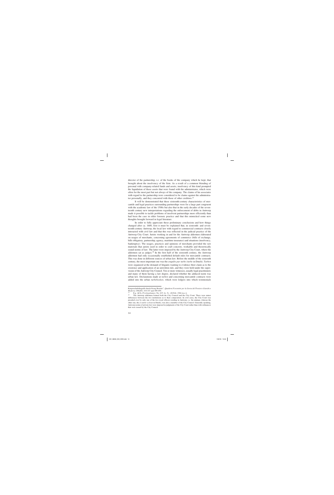director of the partnership, i.e. of the books of the company which he kept, that brought about the insolvency of the firm. As a result of a common blending of personal with company-related funds and assets, insolvency of this kind prompted the liquidation of those assets that were found with the administrator, which were often for the most part but not always of the company. The claims of his associates with regard to the partnership were considered to be claims against the administrator personally, and they concurred with those of other creditors.<sup>19</sup>

It will be demonstrated that these sixteenth-century characteristics of mercantile and legal practices surrounding partnerships were for a large part congruent with the academic law of the 1500s but also that in the early decades of the seventeenth century new interpretations regarding the enforcement of debts in Antwerp made it possible to tackle problems of insolvent partnerships more efficiently than had been the case in older forensic practice and that this mimicked some new thoughts brought forward in legal literature.

In order to fully appreciate these preliminary conclusions and how things changed after ca. 1600, first it must be explained that, in sixteenth- and seventeenth-century Antwerp, the local law with regard to commercial contracts closely interacted with civil law and that this was reflected in the judicial practice of the Antwerp City Court. Jurists working in and for the Antwerp aldermen elaborated on usages of merchants, concerning agreements of commerce (bills of exchange, bills obligatory, partnership, agency, maritime insurance) and situations (insolvency, bankruptcy). The usages, practices and opinions of merchants provided the raw materials that jurists used in order to craft concrete, workable and theoretically sound norms of law. The latter were imposed by the Antwerp City Court, where the aldermen sat as judges.<sup>20</sup> In the first half of the sixteenth century, the Antwerp aldermen had only occasionally established default rules for mercantile contracts. This was done in different sources of urban law. Before the middle of the sixteenth century, the most important one was the *enquête par turbe (turbe* in Dutch). *Turben* were organized at the demand of litigants wanting to evidence their claim as to the existence and application of an unwritten rule, and they were held under the supervision of the Antwerp City Council. Ten or more witnesses, usually legal practitioners and many of them having a law degree, declared whether the adduced norm was urban law. Declarations made at *turben* and concerning mercantile contracts were added into the urban *turbeboeken*, which were ledgers into which testimonials

Körperschaftsbegriffs durch Georg Beseler", *Quaderni Fiorentini per la Storia del Pensiero Giuridico Moderno* 1982/83, 319-337 and 399-459.<br><sup>19</sup> E.g. ACA, *Privilegiekamer*, No. 637, fo. 5v. (28 Feb. 1566 (n.s.)).

<sup>&</sup>lt;sup>20</sup> The Antwerp aldermen formed both the City Council and the City Court. There were minor differences between the two institutions as to their composition. In civil cases, the City Court was presided over by only one of the two royal officers residing in Antwerp, i.e. the amman, whereas the other one, the *écoutète* (*schout* in Dutch), was also a member of the City Council. Generally speaking, Antwerp norms of private law were imposed in judgments of the City Court rather than with ordinances that were issued by the City Council.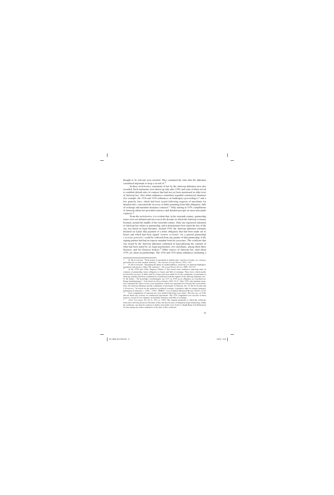thought to be relevant were inserted. They contained the rules that the aldermen considered important to keep a record of.<sup>21</sup>

In these *turbeboeken*, statements of law by the Antwerp aldermen were also recorded. Such statements were drawn up only after 1550, and some of them served to establish default rules of contract that had not yet been mentioned in older texts of Antwerp law. Also urban ordinances sometimes regarded commercial situations (for example, the 1516 and 1518 ordinances on bankruptcy proceedings),  $^{22}$  and a few princely laws, which had been issued following requests of merchants for detailed rules, concerned the recovery of debts stemming from bills obligatory, bills of exchange and maritime insurance contracts.23 Only starting in 1570, compilations of Antwerp urban law provided extensive and detailed precepts on most mercantile contracts.24

From the *turbeboeken*, it is evident that, in the sixteenth century, partnership issues were not debated and not even in the decades in which the Antwerp economy boomed, around the middle of the sixteenth century. Only one registered statement of Antwerp law relates to partnership, and it demonstrates how much the law of the city was based on legal literature. Around 1554, the Antwerp aldermen solemnly declared (in Latin) that payment of a letter obligatory that had been made out to bearer and which had been signed '*nomine societatis*' for a general partnership ('*societas generalis*') could be collected from any partner of that partnership, if the signing partner had had an express mandate from his associates. The certificate that was issued by the Antwerp aldermen confirmed in legal phrasing the contents of what had been stated by six legal practitioners, five merchants, among them three Genoese, and two Genoese brokers.<sup>25</sup> Other sources of Antwerp law, until about 1570, are silent on partnerships. The 1516 and 1518 urban ordinances instituting a

<sup>21</sup> D. DE RUYSSCHER, "From usages of merchants to default rules: practices of trade, *ius commune* and urban law in early modern Antwerp", *The Journal of Legal History* 2012, 3-29.

<sup>22</sup> D. DE RUYSSCHER, "Designing the limits of creditworthiness. insolvency in Antwerp bankruptcy legislation and practice (16th-17th centuries)", *The Legal History Review* 2008, 310-313.

In the 1530s and 1540s, Emperor Charles V had issued some ordinances imposing rules on contracts of partnership, letters obligatory to bearer and bills of exchange. These laws, which mostly involved the recovery of debts, had for a large part been asked for by the community of merchants in Antwerp, and they had been confirmed by or petitioned with the support of the Antwerp aldermen. See: O. DE SMEDT, "De keizerlijke verordeningen van 1537 en 1539 op de obligaties en wisselbrieven. Eenige kanttekeningen", *Nederlandsche Historiebladen* 1940, 16-21. After 1550, only maritime insurance remained the object of new royal legislation, which was negotiated for between the royal institutions, the Antwerp aldermen and the community of merchants of Antwerp. See: D. DE RUYSSCHER and J. PUTTEVILS, "In search for the political in political economy. Legislative talks for marine insurance institutions in Antwerp (*c.* 1550-*c.* 1570)", BMGN – Low Countries Historical Review 2015/3, 25-49. 24 Four compilations of Antwerp law were drafted following royal orders. The first one, of 1548, did not detail any sections on commercial agreements. The 1570 compilation was succinct in these respects, except for two chapters on maritime insurance and bills of exchange.<br> $^{25}$  ACA Viewschaar, No. 60, fo. 150 (eq. 1554). The original statements is

<sup>25</sup> ACA, *Vierschaar*, No. 69, fo. 159 (*ca.* 1554). The original statements to which the certificate refers have not been preserved. Because of this, but also because of ubiquitous legal terminology within the certificate, one must be cautious to deduce mercantile views from it. I thank Bram Van Hofstraeten for fine tuning my earlier estimation of the date of this certificate.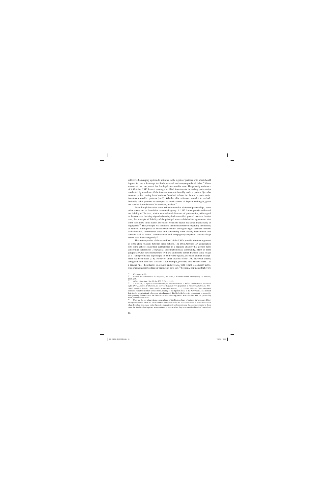collective bankruptcy system do not refer to the rights of partners or to what should happen in case a bankrupt had both personal and company-related debts.<sup>26</sup> Other sources of law, too, reveal but few legal rules on this issue. The princely ordinance of 4 October 1540 banned earnings on blind investments in trading partnerships conducted by merchants if the investor was not formally made a partner. Speculations on profits coming from business firms had to have the form of a partnership: investors should be partners (*socii*). Whether this ordinance intended to exclude limitedly liable partners or attempted to restrict forms of deposit banking is, given the concise formulation of its sections, unclear.<sup>27</sup>

Even though few rules were written down that addressed partnerships, some other norms can be found that concerned agency. A 1542 Antwerp *turbe* addressed the liability of 'factors', which were salaried directors of partnerships, with regard to the contracts that they signed when they had a so-called general mandate. In that case, the principle of liability of the principal was established for agreements that were concluded in his name, except for when the factor had acted maliciously or negligently.28 This principle was similar to the mentioned norm regarding the liability of partners. In this period of the sixteenth century, the organising of business ventures with directors, commission trade and partnership were closely intertwined, and concepts such as 'factor', 'commissioner' and 'compagnon/compañero' were to a large extent used interchangeably.<sup>29</sup>

The Antwerp rules of the second half of the 1500s provide a further argument as to the close relations between these notions. The 1582 Antwerp law compilation lists some articles regarding partnerships in a separate chapter that groups rules concerning partnership (*compagnie*) and (matrimonial) community. Many of them paraphrase what the contemporary civil law said on the theme. Partners could resign (s. 11) and profits had in principle to be divided equally, except if another arrangement had been made (s. 8). However, other sections of the 1582 law book clearly derogated from civil law. Section 1, for example, provided that partners were – as a general rule – held liable, *in solidum* and *pro toto*, with regard to company debts. This was not acknowledged in writings of civil law.<sup>30</sup> Section 2 stipulated that every

 $26$  Cf. *supra*, n. 22.

<sup>27</sup> *Recueil des ordonnances des Pays-Bas*, 2nd series, J. LAMEERE and H. SIMON (eds.), IV, Brussels, 1907, 235.

<sup>28</sup> ACA, *Vierschaar*, No. 68, fo. 156 (9 Nov. 1542).

J.M. GIJÓN, "La práctica del comercio por intermediario en el tráfico con las Indias durante el siglo XVI", *Anuario de Historia del Derecho Español* 1976 [reprinted in *Historia del Derecho Mercantil. Estudios*, Sevilla, 1999 – I refer to the latter reprint], 213, 215 and 232-234. Gijón examined contracts from the first half of the 1500s, relating to the Spanish trade in the New World, and noticed that similar organisational rules were interchangeably labelled with *factoria*, *encomienda* or *comisión*. This probably followed from the fact that the administering partner was identified with the partnership itself, as mentioned above.<br><sup>30</sup> Civil low did not only

<sup>30</sup> Civil law did not acknowledge a general rule of liability *in solidum* of partners for 'company debts'. Exceptions include when the latter could be subsumed under the *actio exercitoria* or *actio institoria* or when debts had been made on the basis of a mandate and while mentioning the *nomen societatis*. In those cases, the liability of each partner was sometimes *pro parte* (when they were considered to *simul contrahere*)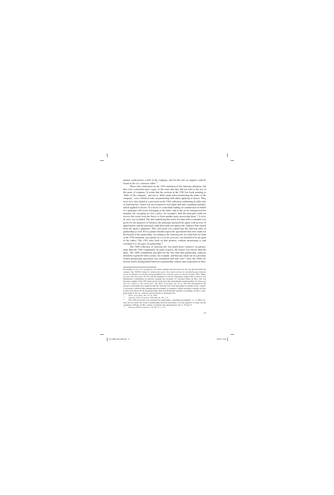partner could pursue a debt of the company, and for this rule no support could be found in the *ius* commune either.<sup>31</sup>

These rules elaborated on the 1554 statement of the Antwerp aldermen, but they were somewhat more vague, in the sense that they did not refer to the use of the name of company. It seems that the sections in the 1582 law book pointing to 'debts of the company', and not to 'debts made when mentioning the name of the company', were a blend of rules on partnership with others applying to factors. They were *inter alia* related to a provision in the 1582 collection confirming an older rule of Antwerp law, which was an exception to real rights and rules regarding mandate, which applied to factors. If a factor or a merchant trading on commission on behalf of a principal sold assets belonging to the latter, and in the act he transgressed his mandate (by accepting too low a price, for example), then the principal could not recover the assets from the buyer or from another party possessing them.32 A *droit de suite* was excluded. The idea underlying this norm was that when a mandate was given for the purposes of business the principal entrusted his agent with powers of appreciation, and the principal could afterwards not oppose the contracts that ensued from the agent's judgment. This conviction was copied into the Antwerp rules of partnership as well. Every partner should respect the agreements that were made for the benefit of the partnership. According to the Antwerp law as it had been set forth in the 1554 statement, any partner in a *societas generalis* was deemed to be an agent of the others. The 1582 rules built on that premise, without mentioning it, and extended it to all types of partnership.<sup>33</sup>

The 1608 collection of Antwerp law was much more extensive on partnerships than the 1582 compilation. In many respects, the former was stricter than the latter. The 1608 compilation provided for the first time that partnership contracts should be registered with a notary, for example, and that any claim out of a privately written partnership agreement was considered null and void.<sup>34</sup> Also, the 1608 collection clearly distinguished between a partnership contract and cooperation in busi-

but usually *pro toto* (if a reciprocal, even silent, mandate had been given to the one that had made the contract). See: W.D.H. ASSER, *In solidum of pro parte. Een onderzoek naar de ontwikkelingsgeschiedenis van de hoofdelijke en gedeelde aansprakelijkheid van vennoten tegenover derden*, Leiden, 1983; MEHR, *Societas und universitas*, 95-167, and the fragment of Van der Tanerijen's treatise that is cited in Van Hofstraeten's contribution on Antwerp company law (footnote 15). Secretary Henry de Moy, who was the main compiler of the 1582 Antwerp law book, knew this and explicitly mentioned that '*the [Antwerp] rule was contrary to the written law*'. See ACA, *Vierschaar*, No. 22, fo. 428. His motivation for the precept is interesting for it mentions that the Antwerp City Court had judged according to this 'custom' (*consuetudo*), which de Moy thought logical in matters of commerce. Please note that I consider civil law to have been stricter for the mentioned topic than Van Hofstraeten and that, accordingly, de Moy's statement points to the *ius commune* and not merely to Justinianic law.<br><sup>31</sup>  $\wedge$  CA, *Viewabagy*, No. 22, fo. 428*y* 

<sup>31</sup> ACA, *Vierschaar*, No. 22, fo. 428v.

<sup>32</sup> *Antwerp 1582 Costuymen*, 444-446 (ch. 58, s. 5).

<sup>33</sup> The 1582 provisions were intended for partnerships 'regarding merchandise' (s. 1). Other sections do not restrict the scope to partnerships between merchants or for the purposes of trade, but the comments of Henry de Moy clearly corroborate this interpretation. See n. 30 and 31.<br> $\frac{34}{2}$  Antwern 1608 Costumen 174 (ch 9 s 2–3)

<sup>34</sup> *Antwerp 1608 Costuymen*, 174 (ch. 9, s. 2–3).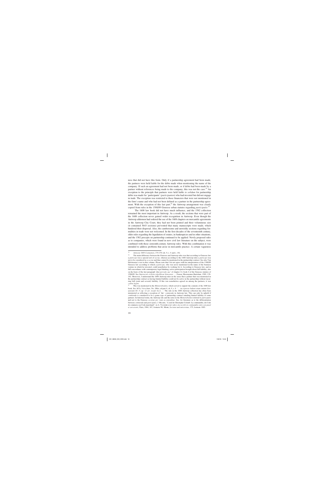ness that did not have this form. Only if a partnership agreement had been made, the partners were held liable for the debts made when mentioning the name of the company. If such an agreement had not been made, or if debts had been made by a partner without references being made to the company, this was not the case.<sup>35</sup> An exception to the principle that partners were held liable *in solidum* for partnership debts was made for 'participants' (*participanten*) who had invested but did not engage in trade. The exception was restricted to those financiers that were not mentioned in the firm's name and who had not been defined as a partner in the partnership agreement. With the exception of this last part,<sup>36</sup> the Antwerp arrangement was clearly copied from rules in the 1588/89 Genoese urban statutes regarding *participatio*. 37

The 1608 law book did not have much influence, and the 1582 collection remained the most important in Antwerp. As a result, the sections that were part of the 1608 collection never gained wider recognition in Antwerp. Even though the Antwerp aldermen had ordered the use of the 1608 chapters on mercantile agreements in the Antwerp City Court, they had not been printed and their voluminous size (it contained 3643 sections) prevented that many manuscripts were made, which hindered their dispersal. Also, the cumbersome and unwieldy sections regarding formalities in trade were not welcomed. In the first decades of the seventeenth century, older rules regarding the liquidation of estates, in bankruptcies and in other situations, and the 1582 precepts on partnership continued to be applied. Newly proposed rules as to companies, which were found in new civil law literature on the subject, were combined with those sixteenth-century Antwerp rules. With this combination it was intended to address problems that arose in mercantile practice. A certain vagueness

<sup>35</sup> *Antwerp 1608 Costuymen*, 174-176 (ch. 9, s. 4 and s. 10).

The main difference between the Genoese and Antwerp rules was that according to Genoese law a *particeps* was a special sort of *socius*, whereas according to the 1608 Antwerp rules a *particeps* was not to be considered as a *socius* and thus cannot be mentioned in the partnership contract. See also Van Hofstraeten's text in this volume. Please note that I do not agree with his interpretation of the 1588/89 Genoese law according to which a *particeps*, who was never mentioned in the name of the business venture in which he invested, could nonetheless be working for it. According to Genoese law, and in full concordance with contemporary legal thinking, active participation brought about full liability, also on the basis of the last paragraph '*Qui periculo suo*' of chapter 12, book 4 of the Genoese statutes of 1588/89. See *Statvtorvm civilivm reipvblicae Genvensis …*, Genoa, Hieronymus Bartolum, 1589, 139- 142. Moreover, I understand the 1608 Antwerp rules in the sense that a partner that was mentioned in the partnership contract as having limited liability could not be active in the partnership without incurring full (joint and several) liability. If this was nonetheless agreed on among the partners, it was *contra legem*.

<sup>37</sup> This was mentioned in the *Memorieboeken*, which served to support the contents of the 1608 law book. See ACA, *Vierschaar*, No. 28bis, ad part 4, ch. 9, s. 8. '*… ita expresse habent etiam statuta Genuensium lib. 4 cap. 12 art. incipit Socii…*'. The rule in the 1608 Antwerp collection has often been interpreted as reflecting a reception of 'the' *commenda* in Antwerp law. This can only be upheld if *commenda* is considered to be a genus type of partnership contract entailing limited liability of some partners. In historical terms, the Antwerp rule and the notes in the *Memorieboeken* referred to *participatio* and not to the Genoese *societas per viam accomenditae*. See, for literature as to the differentiation between *commenda* and *participatio*, J. HILAIRE, "L'œuf de Christophe Colomb. La commandite, du Code de commerce au Code marchand", in A. VIANDIER et.al. (eds.), *La société en commandite entre son passé et son avenir*, Paris, 1984, 167, footnote 98; MEHR, *Societas und universitas*, 175, footnote 1003.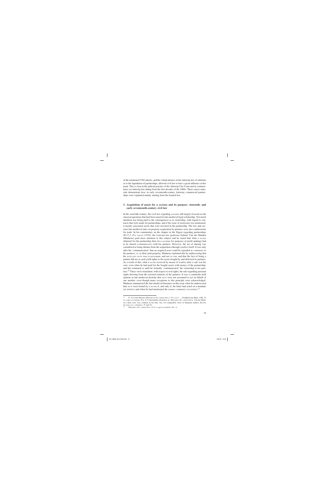of the mentioned 1582 articles, and the virtual absence in the Antwerp law of solutions as to the liquidation of partnerships, allowed civil law to have a great influence at this point. This is clear in the judicial practice of the Antwerp City Court and in commentaries on Antwerp law dating from the first decades of the 1600s. These source materials demonstrate how, in early seventeenth-century Antwerp, commercial partnerships were explained mainly starting from the learned law.

#### **3. Acquisition of assets for a** *societas* **and its purpose: sixteenth- and early seventeenth-century civil law**

In the sixteenth century, the civil law regarding *societas* still largely focused on the classical questions that had been raised in late-medieval legal scholarship. Not much attention was being paid to the consequences as to ownership, with regard to contracts that were made for partnerships, and if the issue of *dominium* was mentioned, it mostly concerned assets that were invested in the partnership. The few and succinct late-medieval rules on property acquisition by partners were also cumbersome for trade. In his commentary on the chapter in the Digest regarding partnerships (D.17,2, *Pro socio*) (1534), the Louvain law professor Gabriel Van der Muiden (Mudaeus) paid more attention to this subject and he stated that what a *socius* obtained for the partnership firm (in a *societas* for purposes of profit making) had to be shared (*communicare*) with his partners. However, the act of sharing was considered as being distinct from the acquisition (through *traditio*) itself. It was only after the 'communication' that an acquired asset could be regarded as *communis* to the partners, i.e. as their joint property. Mudaeus explained this by underscoring that the *actio pro socio* was *in personam*, and not *in rem*, and that the fact of being a partner did not as such yield rights to the assets bought by and delivered to partners. As a result of this, what a *socius* received by means of *traditio* after a sale was his own, even when he had paid for the bought assets with money of the partnership, and this remained so until he formally 'communicated' the ownership to his partners.38 These views translated, with respect to real rights, the rule regarding personal rights deriving from the external relations of the partners. It was a commonly held opinion in late-medieval doctrine that *socii* were not asssumed to act on behalf of one another, even though many exceptions to this principle were acknowledged. Mudaeus summarized the late-medieval literature on this issue when he underscored that *socii* were bound by a *socius* if, and only if, the latter had acted on a mandate (as *institor*) and when he had mentioned the *nomen communis (societatis)*. 39

<sup>38</sup> G. VAN DER MUIDEN (MUDAEUS), *De contractibvs, I. Pro socio …*, Frankfurt-am-Main, 1586, 53 (l. *si quis societatem*, Nos. 6-7) (hereinafter referred to as: MUDAEUS, *De contractibvs*). Van der Muiden's ideas were very common in his time. See, for comparable views of humanist authors, BLATH, *Societas sive communio*, 47 and 52.

<sup>39</sup> MUDAEUS, *De contractibvs*, 52 (l. *si quis societatem*, No. 1).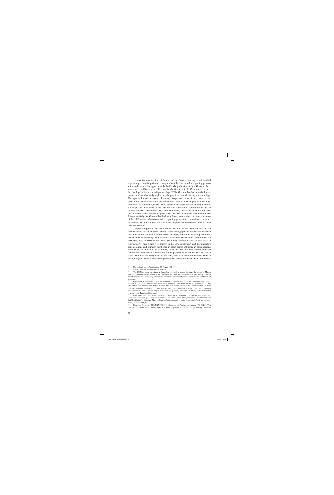It was foremost the *Rota* of Genoa, and the Genoese law in general, that had a great impact on the profound changes which the learned rules regarding partnerships underwent after approximately 1600. Many decisions of the Genoese *Rota*, which were published as a collection for the first time in 1582, promoted a more flexible legal attitude towards partnerships.<sup>40</sup> The Genoese law had absorbed many practices of merchants, by rephrasing the practices in academic legal terminology. This approach made it possible that many usages and views of merchants, on the basis of the Genoese academic reformulations, could also be adopted in other European cities of commerce, where the *ius commune* was applied, and among them was Antwerp. The innovations of the Genoese law consisted of a presumption *iuris et de iure* between partners that they were held liable, jointly and severally, for debts out of contracts that had been signed when the firm's name had been mentioned.<sup>41</sup> It is not unlikely that Genoese law had an influence on the abovementioned sections of the 1582 Antwerp law compilation regarding partnership.<sup>42</sup> As referred to above, sections in the 1608 Antwerp law book were supported with references to the 1588/89 Genoese statutes.

Equally important was the doctrine that built on the Genoese rules. In the first decade of the seventeenth century, some monographs on partnership answered questions on the status of acquired assets. In 1601, Pedro Sanz de Morquecho published a treatise regarding the division of assets from partnerships, communities and heritages, and, in 1606, Ettore Felici (Felicius) finished a book on *societas* and *communio*.<sup>43</sup> These works were known in the Low Countries,<sup>44</sup> and the innovative considerations and opinions mentioned in them gained influence in those regions. Morquecho and Felicius, for example, stated that the one who administered the partnership (*administrator*) had to inform the partners about the business and had to show them the accounting books of the firm, even if he could not be considered an *institor* or *procurator*. <sup>45</sup> Mercantile practice had indeed produced a new terminology

<sup>40</sup> MEHR, *Societas und universitas*, 73-76 and 154-157.

<sup>41</sup> MEHR, *Societas und universitas*, 154-157.

<sup>42</sup> The 1582 law book was printed in December 1582 and, at around that time, the edition by Marcus Antonius Bellonius of *Decisiones* of the Genoese *Rota* could have been available in Antwerp. To what extent other sources reflecting Genoese law or earlier versions of Genoese statutes were used is as yet uncertain.

<sup>43</sup> P. SANZ DE MORQUECHO, *Practica Quotidiana … De divisione bonorum: tum societatis conventionalis & coniugalis, tum meliorationum, & hereditatum, aliarumque rerum eo spectantium …* The first edition was published in Madrid in 1601. The best-known edition is the 1607 Frankfurt-am-Main one, which is cited hereinafter (as: MORQUECHO, *Practica quotidiana*); E. FELICI (FELICIUS), *Tractatus de communione seu societate, deque lucro item ac quaestu*, Frankfurt-am-Main, 1606 (hereinafter referred to as: FELICIUS, *Tractatus*).

<sup>44</sup> Both were mentioned in the catalogues of libraries of royal courts, in Holland and Frisia. See: *Catalogus librorum qui extant in Suprema Frisiorum Curia*, http://home.wanadoo.nl/mpaginae/ Cat34Hof/cathof34.htm, and J.TH. DE SMIDT, *Catalogus oude drukken in de bibliotheek van de Hoge Raad*, Zwolle, 1988, 64.

<sup>45</sup> FELICIUS, *Tractatus*, 440 (XXXVIII.27); MORQUECHO, *Practica quotidiana*, 176 (IX.3). This concept of '*administrator*', in the sense of a working partner or director of a partnership, was used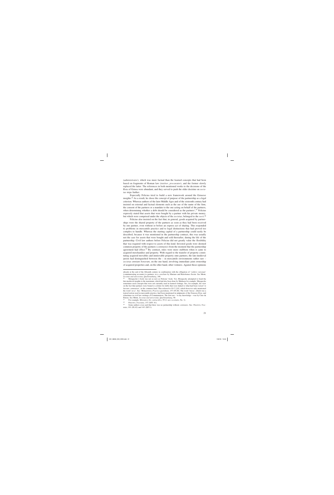(*administrator*), which was more factual than the learned concepts that had been based on fragments of Roman law (*institor*, *procurator*), and the former slowly replaced the latter. The references in both mentioned works to the decisions of the *Rota* of Genoa were abundant, and they served to push the older doctrine on *societas* steps further.

Especially Felicius tried to build a new framework around the Genoese insights.46 As a result, he chose the concept of purpose of the partnership as a legal criterion. Whereas authors of the later Middle Ages and of the sixteenth century had insisted on external and factual elements such as the use of the name of the firm, the consent of the partners or a mandate to the one acting on behalf of the partners, when determining whether a debt should be considered as the partners',<sup>47</sup> Felicius expressly stated that assets that were bought by a partner with his private money, but which were comprised under the objects of the *societas*, belonged to the *socii*. 48

Felicius also insisted on the fact that, in general, goods acquired by partnerships were the shared property of the partners as soon as they had been received by one partner, even without or before an express act of sharing. This responded to problems in mercantile practice and to legal distinctions that had proved too complex to handle. Whereas the starting capital of a partnership could easily be described, because it was mentioned in the partnership contract, this was usually not the case for assets that were bought and sold thereafter, during the life of the partnership. Civil law authors before Felicius did not greatly value the flexibility that was required with respect to assets of this kind. Invested goods were deemed common property of the partners (*communio*) from the moment that the partnership agreement had effect.<sup>49</sup> By contrast, rules were more stubborn when it came to acquired merchandise and property. With regard to the transfer of property constituting acquired movables and immovable property onto partners, the late-medieval jurists had distinguished between the  $-$  in mercantile environments rather rare  $$ *societas omnium bonorum*, on the one hand, involving immediate joint ownership of acquired properties and, on the other hand, other ventures. Against those opinions

already at the end of the fifteenth century in combination with the obligation of '*reddere rationum*' (communicating accounts) to partners, in a *consilium* by Mariano and Bartolomeo Socini. See MEHR, *Societas und universitas*, *Quellenanhang*, 148.

<sup>46</sup> Morquecho's book was not as new as Felicius' book. Yet, Morquecho attempted to bend the late-medieval insights to the maximum, which had also been done by Mudaeus for example. Morquecho sometimes used concepts that were not currently used in learned writings. See, for example, his view on the fact that partners were bound *in solidum* for debts that were linked to what had been versed '*in bursam communem*', in the common fund. This referred to D.17,2,82, which however only mentioned the word '*arca*'. See: MORQUECHO, *Practica quotidiana*, 157 (IV.20). The word '*bursa*', which was a typical notion used in mercantile practice, had been mentioned in judgments of the Genoese *Rota*, and sometimes in civil law writings of Commentators. The first use – to my knowledge – was by Cino da Pistoia. See MEHR, *Societas und universitas*, *Quellenanhang*, 90.

<sup>47</sup> For example, MUDAEUS, *De contractibvs*, 59 (l. *iure societatis*, No. 1).

<sup>48</sup> FELICIUS, *Tractatus*, 157 (XIV. 81).

Some authors even said that there was no partnership without *communio*. See: FELICIUS, *Tractatus*, 101 (IX.42) and 143 (XIV.1).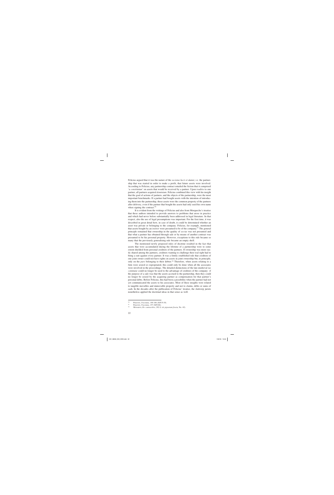Felicius argued that it was the nature of the *societas lucri et damni*, i.e. the partnership that was started in order to make a profit, that future assets were involved. According to Felicius, any partnership contract entailed the fiction that it comprised 'a *constitutum*' on assets that would be received by a partner. Upon *traditio* to one partner, all partners acquired *dominium*. Felicius combined this view with his insight that the goal of actions of partners, and the objects of the partnership, were the most important benchmarks. If a partner had bought assets with the intention of introducing them into the partnership, those assets were the common property of the partners after delivery, even if the partner that bought the assets had only used his own name when signing the contract.<sup>50</sup>

It is evident from the writings of Felicius and also from Morquecho's treatise that these authors intended to provide answers to problems that arose in practice and which had never before substantially been addressed in legal literature. In that respect, also the use of legal presumptions was important. For the first time, it was described in great detail how, in case of doubt, it could be determined whether an asset was private or belonging to the company. Felicius, for example, mentioned that assets bought by an *institor* were presumed to be of the company.<sup>51</sup> The general principle remained that ownership in the quality of *socius* was not presumed and that what a partner has obtained through sale or by means of another contract was presumed to be his personal property. However, exceptions to this rule became so many that the previously generalising rule became an empty shell.

The mentioned newly proposed rules of doctrine resulted in the fact that assets that were accumulated during the lifetime of a partnership were to some extent shielded from personal creditors of the partners. If ownership was more easily shared among the partners, creditors wanting to challenge their real right had to bring a suit against every partner. It was a firmly established rule that creditors of one joint owner could not have rights on assets in joint ownership but, in principle, only on the *pars* belonging to their debtor.52 Therefore, when assets relating to a firm were seized or expropriated, this could only be done when all the associates were involved in the proceedings. The detailed distinctions of the late-medieval *ius commune* could no longer be used to the advantage of creditors of the company: if the purpose of a sale was that the assets accrued to the partnership, then they could no longer be seized by the acquiring partner as compensation for that partner's personal debts. Before Felicius, this had been a possibility when the partner had not yet communicated the assets to his associates. Most of these insights were related to tangible movables and immovable property and not to claims, debts or sums of cash. In the decades after the publication of Felicius' treatise, the Antwerp jurists nonetheless applied the doctrinal ideas in that sense as well.

<sup>50</sup>FELICIUS, *Tractatus*, 144-146 (XIV.9-19). 51 FELICIUS, *Tractatus*, 157 (XIV.86).

<sup>52</sup> MUDAEUS, *De contractibvs*, 292 (l. *de pignorum fructu*, No. 42).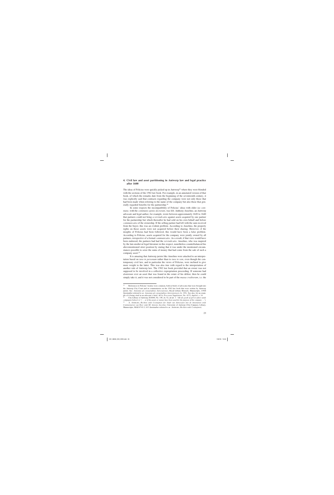#### **4. Civil law and asset partitioning in Antwerp law and legal practice after 1600**

The ideas of Felicius were quickly picked up in Antwerp<sup>53</sup> where they were blended with the sections of the 1582 law book. For example, in an annotated version of that book, of which the remarks date from the beginning of the seventeenth century, it was explicitly said that contracts regarding the company were not only those that had been made when referring to the name of the company but also those that generally regarded benefits for the partnership.54

In some respects the incompatibility of Felicius' ideas with older *ius commune*, with the *communis opinio doctorum*, was felt. Anthony Anselmo, an Antwerp advocate and legal author, for example, wrote between approximately 1620 to 1640 that partners could not bring a *reivindicatio* against assets acquired by one partner for the partnership but which thereafter he had sold on his own behalf and before *communicatio* of the ownership. If the selling partner had left with the sum received from the buyer, this was an evident problem. According to Anselmo, the property rights on those assets were not acquired before their sharing. However, if the insights of Felicius had been followed, this would have been a false problem. According to Felicius, assets acquired for the company were jointly owned by all partners, irrespective of a formal *communicatio*. As a result, if that view would have been endorsed, the partners had had the *reivindicatio*. Anselmo, who was inspired by the late-medieval legal literature in this respect, nonetheless counterbalanced his abovementioned strict position by stating that it was under the mentioned circumstances possible to seize the sums of money that had come from the sale of such a company asset.<sup>55</sup>

It is amazing that Antwerp jurists like Anselmo were attached to an interpretation based on *iura in personam* rather than to *iura in rem*, even though the contemporary civil law, and in particular the views of Felicius, were inclined to give more weight to the latter. This was also true with regard to the interpretation of another rule of Antwerp law. The 1582 law book provided that an owner was not supposed to be involved in a collective expropriation proceeding. If someone had *dominium* over an asset that was found in the estate of his debtor, then he could simply take it, and it was not considered to be part of the *massa creditorum*, i.e. the

<sup>53</sup> References to Felicius' treatise were common, both in briefs of advocates that were brought into the Antwerp City Court and in commentaries on the 1582 law book that were written by Antwerp jurists. See: *Annotata ad consuetudines Antverpienses*, Royal Library Brussels, Manuscripts, 13568 (hereinafter referred to as: *Annotata ad consuetudines Antverpienses*), fo. 193v. See also, for an example of it being cited in an advocate's brief, ACA, *Processen Supplement*, No. 4173, *dupliek*, s. 14.

<sup>54</sup> City Library of Antwerp, E10040, No. 149, ch. 52, ad art. 1: '*Oft als goedt of gelt in saken vande* compagnie bekeert is'  $($ … or if the assets or money have been used for the purpose of the company ...'). 55 A. ANSELMO, *Rechten ende Costuijmen der Stadt van Antwerpen met de Annotatien ende*

*Commentarien van Heer ende Mr Antonio Ancelmo*, University of Antwerp (City Campus), Library, Manuscripts, MAG-P 63.3, 613 (hereinafter referred to as: ANSELMO, *Rechten ende Costuijmen*).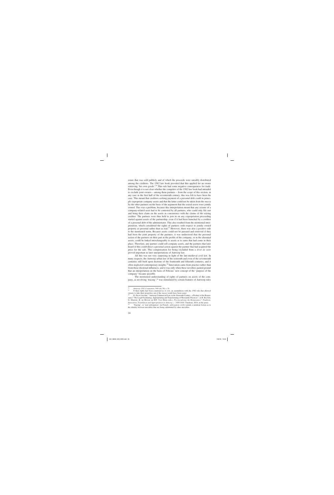estate that was sold publicly and of which the proceeds were rateably distributed among the creditors. The 1582 law book provided that this applied for an owner retrieving 'his own goods'.56 This rule had some negative consequences for trade. Even though it is not clear whether the compilers of the 1582 law book had intended to exclude joint owners – among them partners – from the scope of this section, in any case in the first half of the seventeenth century, this was felt to have been the case. This meant that creditors seeking payment of a personal debt could in principle expropriate company assets and that the latter could not be taken from the *massa* by the other partners on the basis of the argument that the seized assets were jointly owned. This was a problem, because this interpretation meant that any seizure of a company-related asset had to be contested by all partners, who could only file suit and bring their claim on the assets in concurrence with the claims of the seizing creditor. The partners were thus held to join in on any expropriation proceeding started against assets of the partnership, even if it had been launched by a creditor of a personal debt of the administrator. This also resulted from the mentioned interpretation, which considered the rights of partners with respect to jointly owned property as personal rather than as real.<sup>57</sup> However, there was also a positive side to the mentioned norm. Because assets could not be pursued and retrieved if they had been the joint property of the partners, it was understood that the personal action of the partners on their part in the profits of the company, or in the alienated assets, could be linked interchangeably to assets or to sums that had come in their place. Therefore, any partner could sell company assets, and the partners that later heard of this could direct a personal action against the partner that had acquired the price for the sale. This compensation for being excluded from a *droit de suite* proved important in later interpretations of Antwerp law.

All this was not very surprising in light of the late-medieval civil law. In many respects, the Antwerp urban law of the sixteenth and even of the seventeenth centuries still built upon doctrine of the fourteenth and fifteenth centuries, and it often neglected contemporary insights.58 Innovation came from practice rather than from those doctrinal influences, and it was only when these novelties gained ground that an interpretation on the basis of Felicius' new concept of the 'purpose of the company' became possible.

The mentioned understanding of rights of partners on assets of the company, as involving 'tracing',59 was stimulated by certain features of Antwerp rules

<sup>56</sup> *Antwerp 1582 Costuymen*, 540 (ch. 66, s. 9).

<sup>57</sup> If their rights had been construed as *in rem*, an assimilation with the 1582 rule that allowed owners to take their properties out of the *massa* would have been easier.

<sup>58</sup> D. DE RUYSSCHER, "Antwerp Commercial Law in the Sixteenth Century: a Product of the Renaissance? The Legal Facilitating, Appropriating and Transforming of Mercantile Practices", in B. BLONDÉ, G. MARNEF, B. DE MUNCK en M.F. VAN DIJCK (eds.), *Provincializing the Renaissance? Tradition, Innovation, Translation and Appropriation in Antwerp, c. 1400-1600*. Turnhout, 2016, in the press.

<sup>59 &#</sup>x27;Tracing', or 'real subrogation' (in French: *subrogation réelle*) entails a juridical fiction as to the identity between movables that are being substituted by other movables.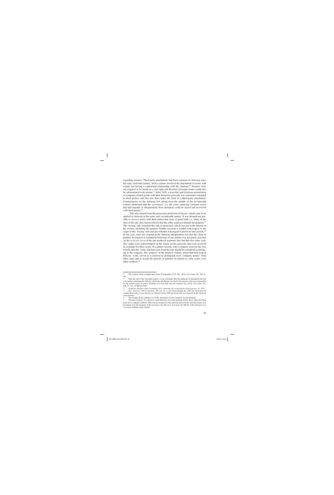regarding seizures. Third-party attachments had been common in Antwerp since the early sixteenth century. Such a seizure involved the attachment of assets with a party not having a contractual relationship with the claimant.<sup>60</sup> Seizures were not required to be based on a real right and therefore personal claims could also be substantiated with seizure.<sup>61</sup> After 1620, a trust-like and fictitious assimilation of company-related goods with their monetary proceeds was sometimes extended to third parties, and this was done under the form of a third-party attachment. Commentaries on the Antwerp law dating from the middle of the seventeenth century mentioned that the '*penningen*', i.e. the coins, replacing company assets that had unjustly or illegitimately been alienated, could be seized and recovered with third parties.<sup>62</sup>

This also ensued from the possessory protection of buyers, which came to be applied in Antwerp in the same early seventeenth century. It was deemed not possible to recover assets with third parties that were of good faith, i.e. when, at the time of the sale, they had not known that the seller could not alienate the property.<sup>63</sup> The 'tracing'-rule remedied this rule of protection, which was not in the interest of the owners, including the partners. Further research is needed with respect to the scope of this 'tracing'-rule and also whether it managed to persist in later periods.<sup>64</sup> In any case, what was original in the Antwerp interpretation was that the claim of partners in response to fraudulent behaviour of one partner was not purely personal (as the *actio pro socio* of the late-medieval academic law) but that also some 'reallike' rights were acknowledged on the return, on the proceeds, that were received in exchange for those assets. If a partner secretly sold a company asset for his own benefit, then the 'coins' that had come from the sale should be considered as belonging to the company. The 'purpose' of the business venture, which had been read in Felicius' work, served as a criterion to distinguish such 'company money' from other sums and to accept the priority of partners in relation to such 'coins' over other creditors.65

<sup>60</sup> The earliest (clear) example dates from 25 September 1535. See: ACA, *Vierschaar*, No. 182, fo.  $28v.$ 

Near the end of the sixteenth century, it was customary that the applicant of attachment showed a document containing the debt for which the attachment was laid to the *amman*, who was responsible for the actual seizure of assets. Evidence of a real right was not required. E.g. ACA, *Vierschaar*, No. 188, fo. 31v. (4 March 1596).<br><sup>62</sup> ANSELMO *Backton* and

<sup>62</sup> ANSELMO, *Rechten ende Costuijmen*, 613; *Annotata ad consuetudines Antverpienses*, fo. 167v.

<sup>63</sup> See: *Antwerp 1608 Costuymen*, 396 (ch. 16, s. 24). Even though the 1582 law book did not contain these rules, it was the law as reflected in the 1608 law book that was imposed in the Antwerp court practice.

 $^{64}$  The lacking of any publicity as to the affectation for the company was problematic.<br> $^{65}$  Personal creditors of a director could therefore not seek payment before these sum

Personal creditors of a director could therefore not seek payment before these sums had been paid out to company creditors. This was an exception to the Antwerp and civil-law rule that money was presumed to be the property of the possessor. See FELICIUS, *Tractatus*, 41 (III.76), with references to a *consilium* of Baldo degli Ubaldo.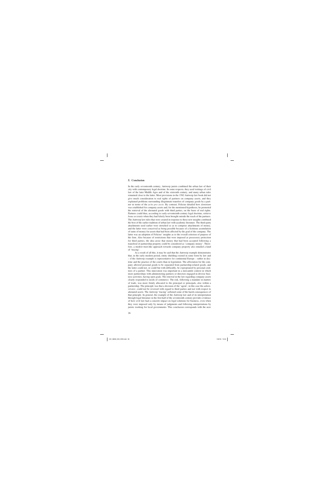#### **5. Conclusion**

In the early seventeenth century, Antwerp jurists combined the urban law of their city with contemporary legal doctrine. In some respects, they used writings of civil law of the later Middle Ages and of the sixteenth century, and many urban rules remained close to the latter. Most provisions in the 1582 Antwerp law book did not give much consideration to real rights of partners on company assets, and they explained problems surrounding illegitimate transfers of company goods by a partner in terms of the *actio pro socio*. By contrast, Felicius detailed how *dominium* was established for company assets and, for the mentioned hypothesis, he promoted the retrieval of the alienated goods with third parties, on the basis of real rights. Partners could thus, according to early-seventeenth-century legal doctrine, retrieve *bona societatis* when they had falsely been brought outside the reach of the partners. The Antwerp law rules that were created in response to these new insights combined the best of the earlier tradition of urban law with academic literature. The third-party attachments used earlier were stretched so as to comprise attachments of money, and the latter were conceived as being possible because of a fictitious assimilation of sums of money for assets that had been affected by the goal of the company. The latter was an adoption of Felicius' insights as to the overall criterion of purpose of the firm. Also because of restrictions that were imposed as possessory protection for third parties, the idea arose that money that had been accepted following a transferal of partnership property could be considered as 'company money'. Therefore, a modest trust-like approach towards company property also entailed a kind of 'tracing'.

As a result of all this, it may be said that the Antwerp example demonstrates that, in the early modern period, entity shielding existed in some form by law and – if the Antwerp example is representative for continental Europe – rather in doctrine and the practice of the courts than in legislation. The affectation for the company allowed personal goods to be separated from partnership-related goods, and the latter could not, or could but with difficultly, be expropriated by personal creditors of a partner. This innovation was important in a mercantile context in which more partnerships with administering partners or directors engaged in diverse business activities, having open goals. The renewal in the law regarding company assets clearly responded to needs of commerce. The risk, following a mandate in matters of trade, was more firmly allocated to the principal or principals, also within a partnership. The principle was that a decision of the 'agent', in this case the *administrator*, could not be reversed with regard to third parties and not with respect to alienated assets. The Antwerp 'tracing' softened some of the harsh consequences of that principle. In general, the example of the Antwerp law and of its interpretation through legal literature in the first half of the seventeenth century provides evidence of how civil law had a concrete impact on legal solutions for business, even when they were imposed only by means of judgments and following interpretations by jurists working for local governments. This conclusion corresponds with the now